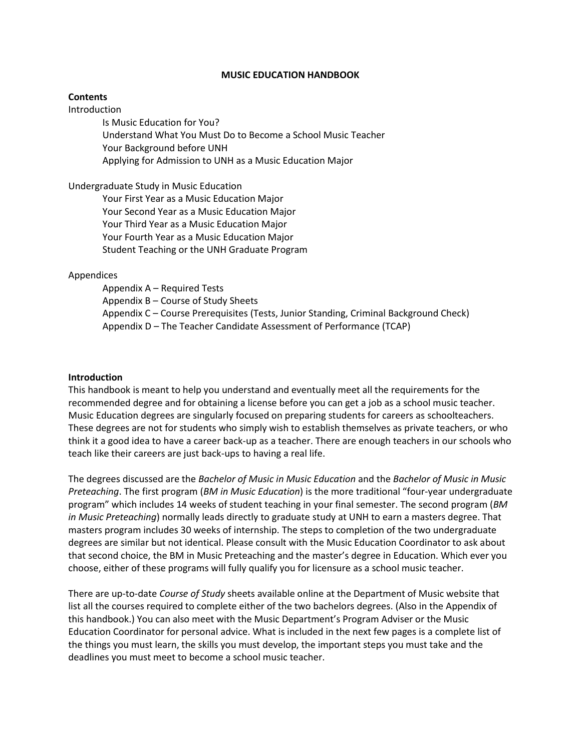#### **MUSIC EDUCATION HANDBOOK**

#### **Contents**

Introduction

Is Music Education for You? Understand What You Must Do to Become a School Music Teacher Your Background before UNH Applying for Admission to UNH as a Music Education Major

#### Undergraduate Study in Music Education

Your First Year as a Music Education Major Your Second Year as a Music Education Major Your Third Year as a Music Education Major Your Fourth Year as a Music Education Major Student Teaching or the UNH Graduate Program

#### Appendices

Appendix A – Required Tests Appendix B – Course of Study Sheets Appendix C – Course Prerequisites (Tests, Junior Standing, Criminal Background Check) Appendix D – The Teacher Candidate Assessment of Performance (TCAP)

#### **Introduction**

This handbook is meant to help you understand and eventually meet all the requirements for the recommended degree and for obtaining a license before you can get a job as a school music teacher. Music Education degrees are singularly focused on preparing students for careers as schoolteachers. These degrees are not for students who simply wish to establish themselves as private teachers, or who think it a good idea to have a career back-up as a teacher. There are enough teachers in our schools who teach like their careers are just back-ups to having a real life.

The degrees discussed are the *Bachelor of Music in Music Education* and the *Bachelor of Music in Music Preteaching*. The first program (*BM in Music Education*) is the more traditional "four-year undergraduate program" which includes 14 weeks of student teaching in your final semester. The second program (*BM in Music Preteaching*) normally leads directly to graduate study at UNH to earn a masters degree. That masters program includes 30 weeks of internship. The steps to completion of the two undergraduate degrees are similar but not identical. Please consult with the Music Education Coordinator to ask about that second choice, the BM in Music Preteaching and the master's degree in Education. Which ever you choose, either of these programs will fully qualify you for licensure as a school music teacher.

There are up-to-date *Course of Study* sheets available online at the Department of Music website that list all the courses required to complete either of the two bachelors degrees. (Also in the Appendix of this handbook.) You can also meet with the Music Department's Program Adviser or the Music Education Coordinator for personal advice. What is included in the next few pages is a complete list of the things you must learn, the skills you must develop, the important steps you must take and the deadlines you must meet to become a school music teacher.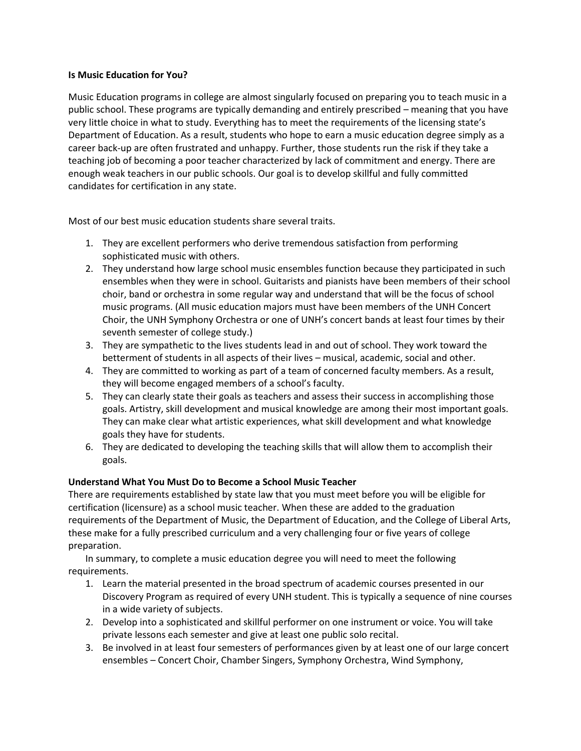## **Is Music Education for You?**

Music Education programs in college are almost singularly focused on preparing you to teach music in a public school. These programs are typically demanding and entirely prescribed – meaning that you have very little choice in what to study. Everything has to meet the requirements of the licensing state's Department of Education. As a result, students who hope to earn a music education degree simply as a career back-up are often frustrated and unhappy. Further, those students run the risk if they take a teaching job of becoming a poor teacher characterized by lack of commitment and energy. There are enough weak teachers in our public schools. Our goal is to develop skillful and fully committed candidates for certification in any state.

Most of our best music education students share several traits.

- 1. They are excellent performers who derive tremendous satisfaction from performing sophisticated music with others.
- 2. They understand how large school music ensembles function because they participated in such ensembles when they were in school. Guitarists and pianists have been members of their school choir, band or orchestra in some regular way and understand that will be the focus of school music programs. (All music education majors must have been members of the UNH Concert Choir, the UNH Symphony Orchestra or one of UNH's concert bands at least four times by their seventh semester of college study.)
- 3. They are sympathetic to the lives students lead in and out of school. They work toward the betterment of students in all aspects of their lives – musical, academic, social and other.
- 4. They are committed to working as part of a team of concerned faculty members. As a result, they will become engaged members of a school's faculty.
- 5. They can clearly state their goals as teachers and assess their success in accomplishing those goals. Artistry, skill development and musical knowledge are among their most important goals. They can make clear what artistic experiences, what skill development and what knowledge goals they have for students.
- 6. They are dedicated to developing the teaching skills that will allow them to accomplish their goals.

## **Understand What You Must Do to Become a School Music Teacher**

There are requirements established by state law that you must meet before you will be eligible for certification (licensure) as a school music teacher. When these are added to the graduation requirements of the Department of Music, the Department of Education, and the College of Liberal Arts, these make for a fully prescribed curriculum and a very challenging four or five years of college preparation.

In summary, to complete a music education degree you will need to meet the following requirements.

- 1. Learn the material presented in the broad spectrum of academic courses presented in our Discovery Program as required of every UNH student. This is typically a sequence of nine courses in a wide variety of subjects.
- 2. Develop into a sophisticated and skillful performer on one instrument or voice. You will take private lessons each semester and give at least one public solo recital.
- 3. Be involved in at least four semesters of performances given by at least one of our large concert ensembles – Concert Choir, Chamber Singers, Symphony Orchestra, Wind Symphony,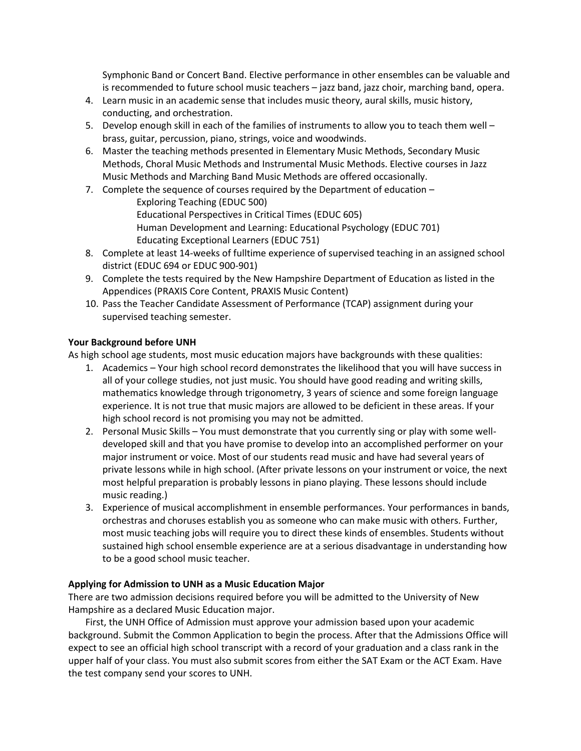Symphonic Band or Concert Band. Elective performance in other ensembles can be valuable and is recommended to future school music teachers – jazz band, jazz choir, marching band, opera.

- 4. Learn music in an academic sense that includes music theory, aural skills, music history, conducting, and orchestration.
- 5. Develop enough skill in each of the families of instruments to allow you to teach them well brass, guitar, percussion, piano, strings, voice and woodwinds.
- 6. Master the teaching methods presented in Elementary Music Methods, Secondary Music Methods, Choral Music Methods and Instrumental Music Methods. Elective courses in Jazz Music Methods and Marching Band Music Methods are offered occasionally.
- 7. Complete the sequence of courses required by the Department of education –

Exploring Teaching (EDUC 500) Educational Perspectives in Critical Times (EDUC 605) Human Development and Learning: Educational Psychology (EDUC 701) Educating Exceptional Learners (EDUC 751)

- 8. Complete at least 14-weeks of fulltime experience of supervised teaching in an assigned school district (EDUC 694 or EDUC 900-901)
- 9. Complete the tests required by the New Hampshire Department of Education as listed in the Appendices (PRAXIS Core Content, PRAXIS Music Content)
- 10. Pass the Teacher Candidate Assessment of Performance (TCAP) assignment during your supervised teaching semester.

## **Your Background before UNH**

As high school age students, most music education majors have backgrounds with these qualities:

- 1. Academics Your high school record demonstrates the likelihood that you will have success in all of your college studies, not just music. You should have good reading and writing skills, mathematics knowledge through trigonometry, 3 years of science and some foreign language experience. It is not true that music majors are allowed to be deficient in these areas. If your high school record is not promising you may not be admitted.
- 2. Personal Music Skills You must demonstrate that you currently sing or play with some welldeveloped skill and that you have promise to develop into an accomplished performer on your major instrument or voice. Most of our students read music and have had several years of private lessons while in high school. (After private lessons on your instrument or voice, the next most helpful preparation is probably lessons in piano playing. These lessons should include music reading.)
- 3. Experience of musical accomplishment in ensemble performances. Your performances in bands, orchestras and choruses establish you as someone who can make music with others. Further, most music teaching jobs will require you to direct these kinds of ensembles. Students without sustained high school ensemble experience are at a serious disadvantage in understanding how to be a good school music teacher.

## **Applying for Admission to UNH as a Music Education Major**

There are two admission decisions required before you will be admitted to the University of New Hampshire as a declared Music Education major.

First, the UNH Office of Admission must approve your admission based upon your academic background. Submit the Common Application to begin the process. After that the Admissions Office will expect to see an official high school transcript with a record of your graduation and a class rank in the upper half of your class. You must also submit scores from either the SAT Exam or the ACT Exam. Have the test company send your scores to UNH.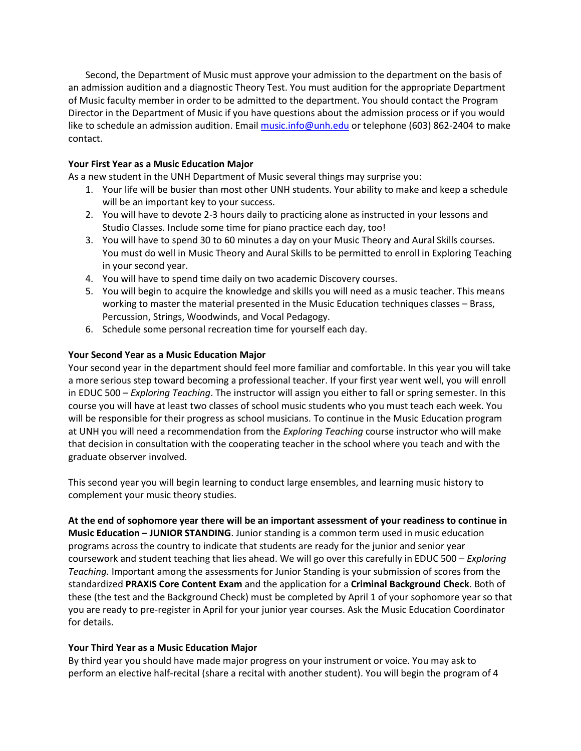Second, the Department of Music must approve your admission to the department on the basis of an admission audition and a diagnostic Theory Test. You must audition for the appropriate Department of Music faculty member in order to be admitted to the department. You should contact the Program Director in the Department of Music if you have questions about the admission process or if you would like to schedule an admission audition. Emai[l music.info@unh.edu](mailto:music.info@unh.edu) or telephone (603) 862-2404 to make contact.

## **Your First Year as a Music Education Major**

As a new student in the UNH Department of Music several things may surprise you:

- 1. Your life will be busier than most other UNH students. Your ability to make and keep a schedule will be an important key to your success.
- 2. You will have to devote 2-3 hours daily to practicing alone as instructed in your lessons and Studio Classes. Include some time for piano practice each day, too!
- 3. You will have to spend 30 to 60 minutes a day on your Music Theory and Aural Skills courses. You must do well in Music Theory and Aural Skills to be permitted to enroll in Exploring Teaching in your second year.
- 4. You will have to spend time daily on two academic Discovery courses.
- 5. You will begin to acquire the knowledge and skills you will need as a music teacher. This means working to master the material presented in the Music Education techniques classes – Brass, Percussion, Strings, Woodwinds, and Vocal Pedagogy.
- 6. Schedule some personal recreation time for yourself each day.

## **Your Second Year as a Music Education Major**

Your second year in the department should feel more familiar and comfortable. In this year you will take a more serious step toward becoming a professional teacher. If your first year went well, you will enroll in EDUC 500 – *Exploring Teaching*. The instructor will assign you either to fall or spring semester. In this course you will have at least two classes of school music students who you must teach each week. You will be responsible for their progress as school musicians. To continue in the Music Education program at UNH you will need a recommendation from the *Exploring Teaching* course instructor who will make that decision in consultation with the cooperating teacher in the school where you teach and with the graduate observer involved.

This second year you will begin learning to conduct large ensembles, and learning music history to complement your music theory studies.

**At the end of sophomore year there will be an important assessment of your readiness to continue in Music Education – JUNIOR STANDING**. Junior standing is a common term used in music education programs across the country to indicate that students are ready for the junior and senior year coursework and student teaching that lies ahead. We will go over this carefully in EDUC 500 – *Exploring Teaching.* Important among the assessments for Junior Standing is your submission of scores from the standardized **PRAXIS Core Content Exam** and the application for a **Criminal Background Check**. Both of these (the test and the Background Check) must be completed by April 1 of your sophomore year so that you are ready to pre-register in April for your junior year courses. Ask the Music Education Coordinator for details.

## **Your Third Year as a Music Education Major**

By third year you should have made major progress on your instrument or voice. You may ask to perform an elective half-recital (share a recital with another student). You will begin the program of 4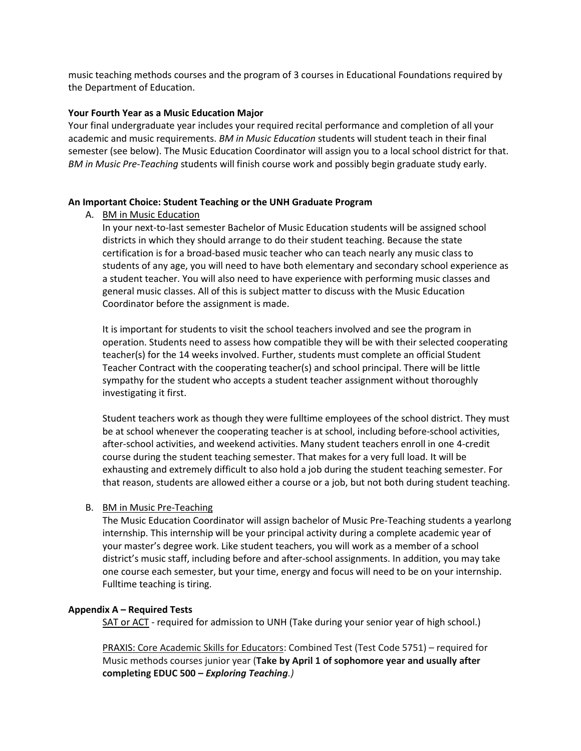music teaching methods courses and the program of 3 courses in Educational Foundations required by the Department of Education.

#### **Your Fourth Year as a Music Education Major**

Your final undergraduate year includes your required recital performance and completion of all your academic and music requirements. *BM in Music Education* students will student teach in their final semester (see below). The Music Education Coordinator will assign you to a local school district for that. *BM in Music Pre-Teaching* students will finish course work and possibly begin graduate study early.

#### **An Important Choice: Student Teaching or the UNH Graduate Program**

A. BM in Music Education

In your next-to-last semester Bachelor of Music Education students will be assigned school districts in which they should arrange to do their student teaching. Because the state certification is for a broad-based music teacher who can teach nearly any music class to students of any age, you will need to have both elementary and secondary school experience as a student teacher. You will also need to have experience with performing music classes and general music classes. All of this is subject matter to discuss with the Music Education Coordinator before the assignment is made.

It is important for students to visit the school teachers involved and see the program in operation. Students need to assess how compatible they will be with their selected cooperating teacher(s) for the 14 weeks involved. Further, students must complete an official Student Teacher Contract with the cooperating teacher(s) and school principal. There will be little sympathy for the student who accepts a student teacher assignment without thoroughly investigating it first.

Student teachers work as though they were fulltime employees of the school district. They must be at school whenever the cooperating teacher is at school, including before-school activities, after-school activities, and weekend activities. Many student teachers enroll in one 4-credit course during the student teaching semester. That makes for a very full load. It will be exhausting and extremely difficult to also hold a job during the student teaching semester. For that reason, students are allowed either a course or a job, but not both during student teaching.

#### B. BM in Music Pre-Teaching

The Music Education Coordinator will assign bachelor of Music Pre-Teaching students a yearlong internship. This internship will be your principal activity during a complete academic year of your master's degree work. Like student teachers, you will work as a member of a school district's music staff, including before and after-school assignments. In addition, you may take one course each semester, but your time, energy and focus will need to be on your internship. Fulltime teaching is tiring.

#### **Appendix A – Required Tests**

SAT or ACT - required for admission to UNH (Take during your senior year of high school.)

PRAXIS: Core Academic Skills for Educators: Combined Test (Test Code 5751) – required for Music methods courses junior year (**Take by April 1 of sophomore year and usually after completing EDUC 500 –** *Exploring Teaching.)*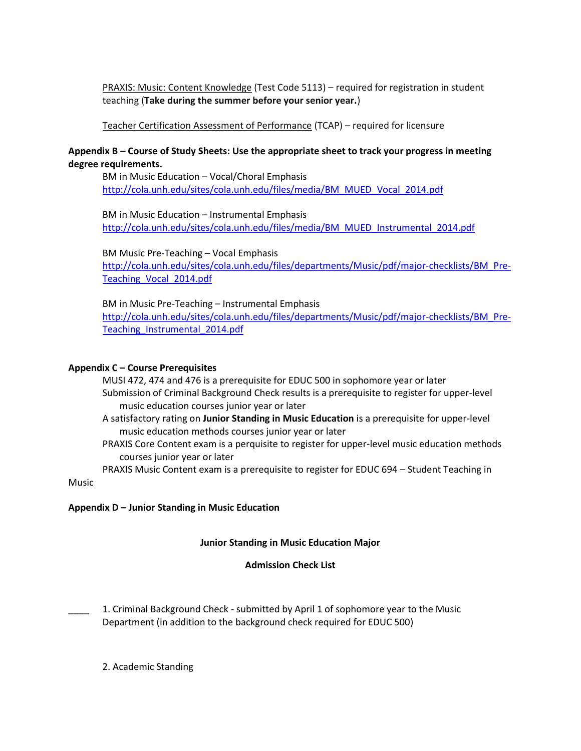PRAXIS: Music: Content Knowledge (Test Code 5113) – required for registration in student teaching (**Take during the summer before your senior year.**)

## Teacher Certification Assessment of Performance (TCAP) – required for licensure

## **Appendix B – Course of Study Sheets: Use the appropriate sheet to track your progress in meeting degree requirements.**

BM in Music Education – Vocal/Choral Emphasis [http://cola.unh.edu/sites/cola.unh.edu/files/media/BM\\_MUED\\_Vocal\\_2014.pdf](http://cola.unh.edu/sites/cola.unh.edu/files/media/BM_MUED_Vocal_2014.pdf)

BM in Music Education – Instrumental Emphasis [http://cola.unh.edu/sites/cola.unh.edu/files/media/BM\\_MUED\\_Instrumental\\_2014.pdf](http://cola.unh.edu/sites/cola.unh.edu/files/media/BM_MUED_Instrumental_2014.pdf)

BM Music Pre-Teaching – Vocal Emphasis [http://cola.unh.edu/sites/cola.unh.edu/files/departments/Music/pdf/major-checklists/BM\\_Pre-](http://cola.unh.edu/sites/cola.unh.edu/files/departments/Music/pdf/major-checklists/BM_Pre-Teaching_Vocal_2014.pdf)[Teaching\\_Vocal\\_2014.pdf](http://cola.unh.edu/sites/cola.unh.edu/files/departments/Music/pdf/major-checklists/BM_Pre-Teaching_Vocal_2014.pdf)

#### BM in Music Pre-Teaching – Instrumental Emphasis

[http://cola.unh.edu/sites/cola.unh.edu/files/departments/Music/pdf/major-checklists/BM\\_Pre-](http://cola.unh.edu/sites/cola.unh.edu/files/departments/Music/pdf/major-checklists/BM_Pre-Teaching_Instrumental_2014.pdf)[Teaching\\_Instrumental\\_2014.pdf](http://cola.unh.edu/sites/cola.unh.edu/files/departments/Music/pdf/major-checklists/BM_Pre-Teaching_Instrumental_2014.pdf)

## **Appendix C – Course Prerequisites**

MUSI 472, 474 and 476 is a prerequisite for EDUC 500 in sophomore year or later Submission of Criminal Background Check results is a prerequisite to register for upper-level music education courses junior year or later

- A satisfactory rating on **Junior Standing in Music Education** is a prerequisite for upper-level music education methods courses junior year or later
- PRAXIS Core Content exam is a perquisite to register for upper-level music education methods courses junior year or later

PRAXIS Music Content exam is a prerequisite to register for EDUC 694 – Student Teaching in

Music

## **Appendix D – Junior Standing in Music Education**

#### **Junior Standing in Music Education Major**

## **Admission Check List**

1. Criminal Background Check - submitted by April 1 of sophomore year to the Music Department (in addition to the background check required for EDUC 500)

2. Academic Standing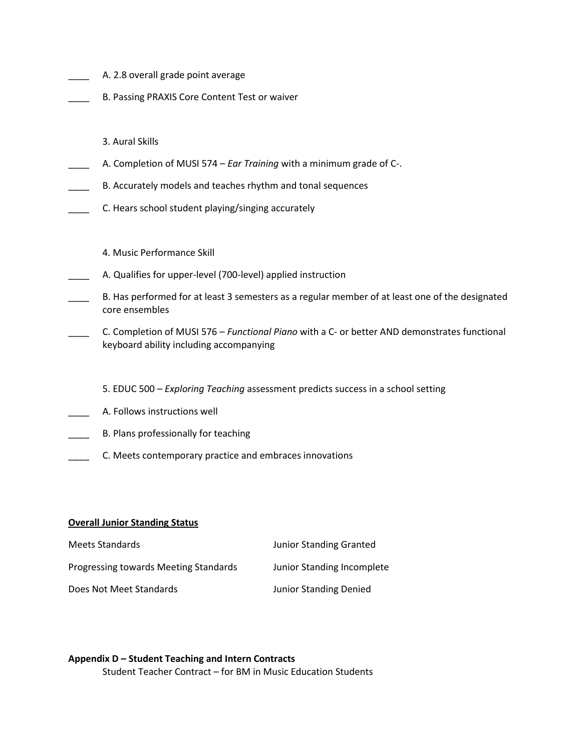| A. 2.8 overall grade point average                                                                                                      |
|-----------------------------------------------------------------------------------------------------------------------------------------|
| B. Passing PRAXIS Core Content Test or waiver                                                                                           |
|                                                                                                                                         |
| 3. Aural Skills                                                                                                                         |
| A. Completion of MUSI 574 – Ear Training with a minimum grade of C-.                                                                    |
| B. Accurately models and teaches rhythm and tonal sequences                                                                             |
| C. Hears school student playing/singing accurately                                                                                      |
|                                                                                                                                         |
| 4. Music Performance Skill                                                                                                              |
| A. Qualifies for upper-level (700-level) applied instruction                                                                            |
| B. Has performed for at least 3 semesters as a regular member of at least one of the designated<br>core ensembles                       |
| C. Completion of MUSI 576 - Functional Piano with a C- or better AND demonstrates functional<br>keyboard ability including accompanying |
|                                                                                                                                         |
| 5. EDUC 500 – Exploring Teaching assessment predicts success in a school setting                                                        |
| A. Follows instructions well                                                                                                            |
| B. Plans professionally for teaching                                                                                                    |

\_\_\_\_ C. Meets contemporary practice and embraces innovations

# **Overall Junior Standing Status**

| Meets Standards                       | <b>Junior Standing Granted</b> |
|---------------------------------------|--------------------------------|
| Progressing towards Meeting Standards | Junior Standing Incomplete     |
| Does Not Meet Standards               | Junior Standing Denied         |

# **Appendix D – Student Teaching and Intern Contracts** Student Teacher Contract – for BM in Music Education Students